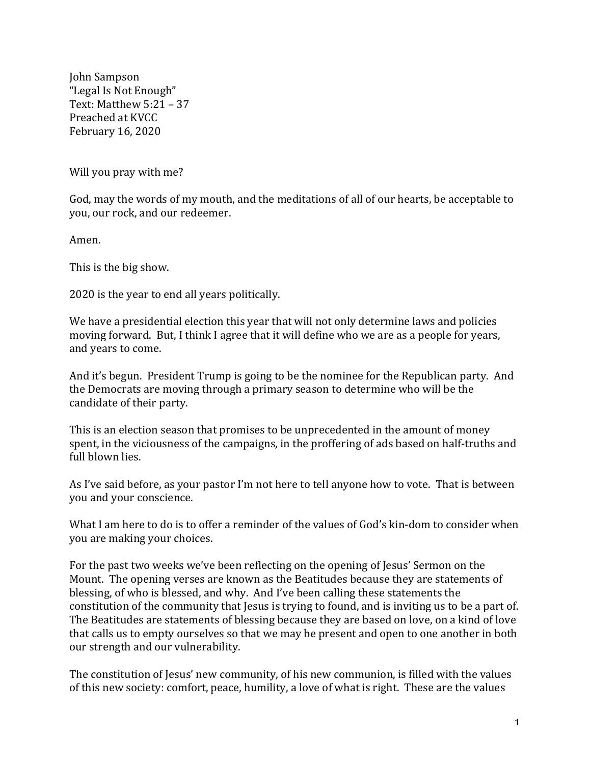John Sampson "Legal Is Not Enough" Text: Matthew  $5:21 - 37$ Preached at KVCC February 16, 2020

Will you pray with me?

God, may the words of my mouth, and the meditations of all of our hearts, be acceptable to you, our rock, and our redeemer.

Amen.

This is the big show.

2020 is the year to end all years politically.

We have a presidential election this year that will not only determine laws and policies moving forward. But, I think I agree that it will define who we are as a people for years, and years to come.

And it's begun. President Trump is going to be the nominee for the Republican party. And the Democrats are moving through a primary season to determine who will be the candidate of their party.

This is an election season that promises to be unprecedented in the amount of money spent, in the viciousness of the campaigns, in the proffering of ads based on half-truths and full blown lies.

As I've said before, as your pastor I'm not here to tell anyone how to vote. That is between you and your conscience.

What I am here to do is to offer a reminder of the values of God's kin-dom to consider when you are making your choices.

For the past two weeks we've been reflecting on the opening of Jesus' Sermon on the Mount. The opening verses are known as the Beatitudes because they are statements of blessing, of who is blessed, and why. And I've been calling these statements the constitution of the community that lesus is trying to found, and is inviting us to be a part of. The Beatitudes are statements of blessing because they are based on love, on a kind of love that calls us to empty ourselves so that we may be present and open to one another in both our strength and our vulnerability.

The constitution of Jesus' new community, of his new communion, is filled with the values of this new society: comfort, peace, humility, a love of what is right. These are the values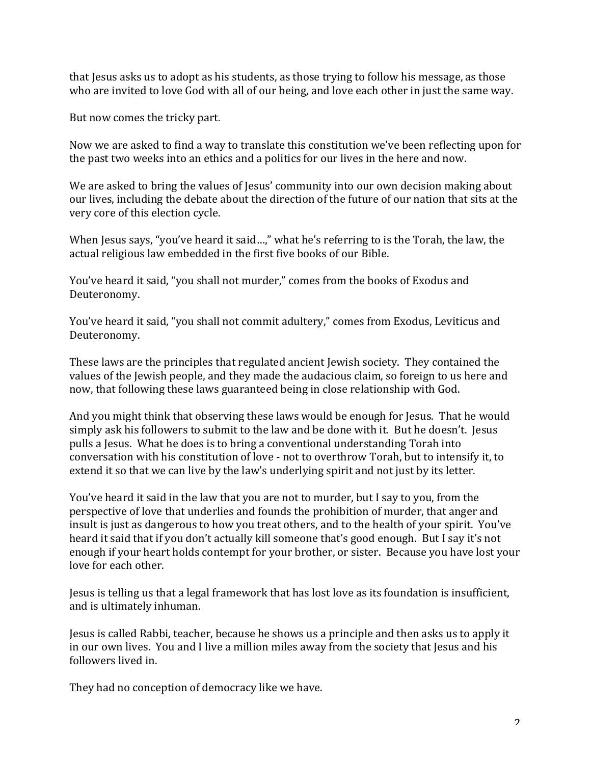that Jesus asks us to adopt as his students, as those trying to follow his message, as those who are invited to love God with all of our being, and love each other in just the same way.

But now comes the tricky part.

Now we are asked to find a way to translate this constitution we've been reflecting upon for the past two weeks into an ethics and a politics for our lives in the here and now.

We are asked to bring the values of Jesus' community into our own decision making about our lives, including the debate about the direction of the future of our nation that sits at the very core of this election cycle.

When Jesus says, "you've heard it said...," what he's referring to is the Torah, the law, the actual religious law embedded in the first five books of our Bible.

You've heard it said, "you shall not murder," comes from the books of Exodus and Deuteronomy.

You've heard it said, "you shall not commit adultery," comes from Exodus, Leviticus and Deuteronomy.

These laws are the principles that regulated ancient Jewish society. They contained the values of the Jewish people, and they made the audacious claim, so foreign to us here and now, that following these laws guaranteed being in close relationship with God.

And you might think that observing these laws would be enough for Jesus. That he would simply ask his followers to submit to the law and be done with it. But he doesn't. Jesus pulls a Jesus. What he does is to bring a conventional understanding Torah into conversation with his constitution of love - not to overthrow Torah, but to intensify it, to extend it so that we can live by the law's underlying spirit and not just by its letter.

You've heard it said in the law that you are not to murder, but I say to you, from the perspective of love that underlies and founds the prohibition of murder, that anger and insult is just as dangerous to how you treat others, and to the health of your spirit. You've heard it said that if you don't actually kill someone that's good enough. But I say it's not enough if your heart holds contempt for your brother, or sister. Because you have lost your love for each other.

Jesus is telling us that a legal framework that has lost love as its foundation is insufficient, and is ultimately inhuman.

Jesus is called Rabbi, teacher, because he shows us a principle and then asks us to apply it in our own lives. You and I live a million miles away from the society that Jesus and his followers lived in.

They had no conception of democracy like we have.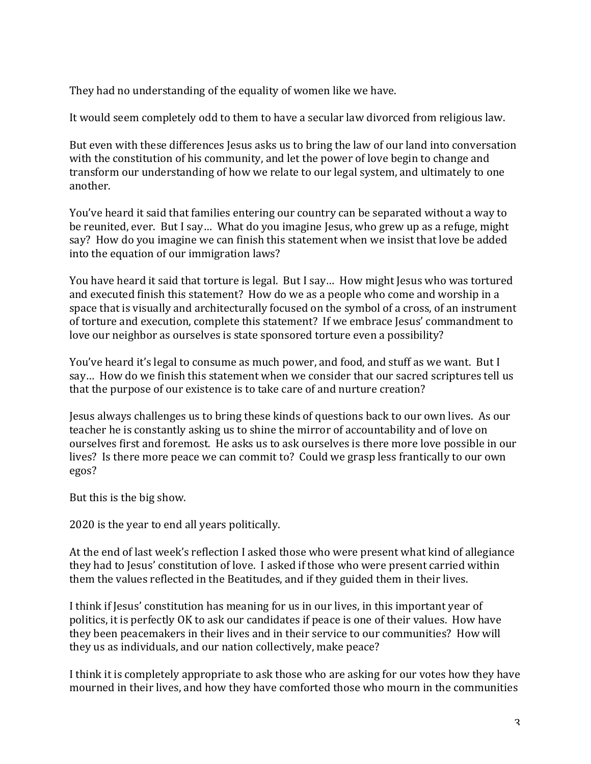They had no understanding of the equality of women like we have.

It would seem completely odd to them to have a secular law divorced from religious law.

But even with these differences Jesus asks us to bring the law of our land into conversation with the constitution of his community, and let the power of love begin to change and transform our understanding of how we relate to our legal system, and ultimately to one another.

You've heard it said that families entering our country can be separated without a way to be reunited, ever. But I say... What do you imagine Jesus, who grew up as a refuge, might say? How do you imagine we can finish this statement when we insist that love be added into the equation of our immigration laws?

You have heard it said that torture is legal. But I say... How might Jesus who was tortured and executed finish this statement? How do we as a people who come and worship in a space that is visually and architecturally focused on the symbol of a cross, of an instrument of torture and execution, complete this statement? If we embrace Jesus' commandment to love our neighbor as ourselves is state sponsored torture even a possibility?

You've heard it's legal to consume as much power, and food, and stuff as we want. But I say... How do we finish this statement when we consider that our sacred scriptures tell us that the purpose of our existence is to take care of and nurture creation?

Jesus always challenges us to bring these kinds of questions back to our own lives. As our teacher he is constantly asking us to shine the mirror of accountability and of love on ourselves first and foremost. He asks us to ask ourselves is there more love possible in our lives? Is there more peace we can commit to? Could we grasp less frantically to our own egos?

But this is the big show.

2020 is the year to end all years politically.

At the end of last week's reflection I asked those who were present what kind of allegiance they had to Jesus' constitution of love. I asked if those who were present carried within them the values reflected in the Beatitudes, and if they guided them in their lives.

I think if Jesus' constitution has meaning for us in our lives, in this important year of politics, it is perfectly OK to ask our candidates if peace is one of their values. How have they been peacemakers in their lives and in their service to our communities? How will they us as individuals, and our nation collectively, make peace?

I think it is completely appropriate to ask those who are asking for our votes how they have mourned in their lives, and how they have comforted those who mourn in the communities